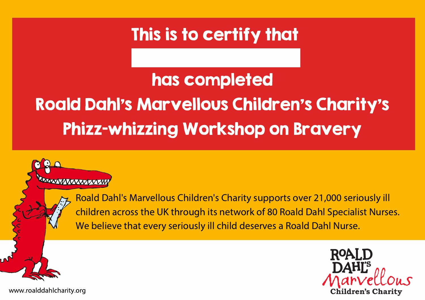## has completed Roald Dahl's Marvellous Children's Charity's Phizz-whizzing Workshop on Bravery

**AAAAAAAAAAAAAAAA** 

Roald Dahl's Marvellous Children's Charity supports over 21,000 seriously ill children across the UK through its network of 80 Roald Dahl Specialist Nurses. We believe that every seriously ill child deserves a Roald Dahl Nurse.



www.roalddahlcharity.org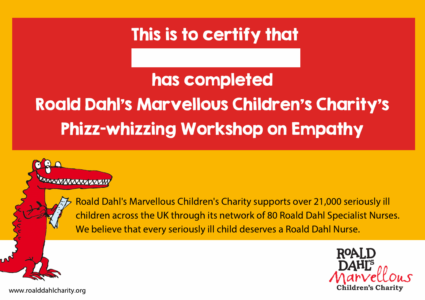## has completed Roald Dahl's Marvellous Children's Charity's Phizz-whizzing Workshop on Empathy

Roald Dahl's Marvellous Children's Charity supports over 21,000 seriously ill children across the UK through its network of 80 Roald Dahl Specialist Nurses. We believe that every seriously ill child deserves a Roald Dahl Nurse.



www.roalddahlcharity.org

**RAAXWAAXAZXXW**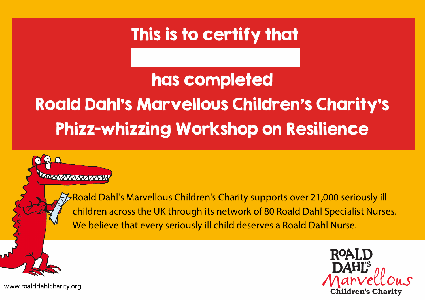## has completed Roald Dahl's Marvellous Children's Charity's Phizz-whizzing Workshop on Resilience

**RAWAY MAXXY XXXII** 

Roald Dahl's Marvellous Children's Charity supports over 21,000 seriously ill children across the UK through its network of 80 Roald Dahl Specialist Nurses. We believe that every seriously ill child deserves a Roald Dahl Nurse.

www.roalddahlcharity.org